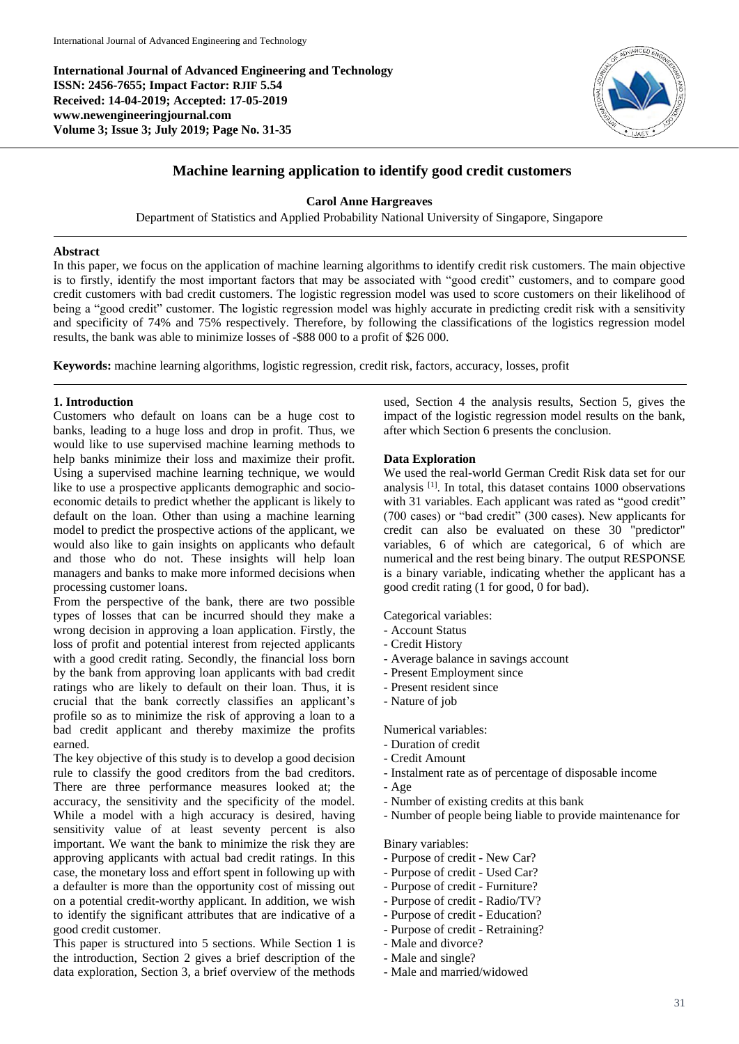**International Journal of Advanced Engineering and Technology ISSN: 2456-7655; Impact Factor: RJIF 5.54 Received: 14-04-2019; Accepted: 17-05-2019 www.newengineeringjournal.com Volume 3; Issue 3; July 2019; Page No. 31-35**



# **Machine learning application to identify good credit customers**

### **Carol Anne Hargreaves**

Department of Statistics and Applied Probability National University of Singapore, Singapore

### **Abstract**

In this paper, we focus on the application of machine learning algorithms to identify credit risk customers. The main objective is to firstly, identify the most important factors that may be associated with "good credit" customers, and to compare good credit customers with bad credit customers. The logistic regression model was used to score customers on their likelihood of being a "good credit" customer. The logistic regression model was highly accurate in predicting credit risk with a sensitivity and specificity of 74% and 75% respectively. Therefore, by following the classifications of the logistics regression model results, the bank was able to minimize losses of -\$88 000 to a profit of \$26 000.

**Keywords:** machine learning algorithms, logistic regression, credit risk, factors, accuracy, losses, profit

## **1. Introduction**

Customers who default on loans can be a huge cost to banks, leading to a huge loss and drop in profit. Thus, we would like to use supervised machine learning methods to help banks minimize their loss and maximize their profit. Using a supervised machine learning technique, we would like to use a prospective applicants demographic and socioeconomic details to predict whether the applicant is likely to default on the loan. Other than using a machine learning model to predict the prospective actions of the applicant, we would also like to gain insights on applicants who default and those who do not. These insights will help loan managers and banks to make more informed decisions when processing customer loans.

From the perspective of the bank, there are two possible types of losses that can be incurred should they make a wrong decision in approving a loan application. Firstly, the loss of profit and potential interest from rejected applicants with a good credit rating. Secondly, the financial loss born by the bank from approving loan applicants with bad credit ratings who are likely to default on their loan. Thus, it is crucial that the bank correctly classifies an applicant's profile so as to minimize the risk of approving a loan to a bad credit applicant and thereby maximize the profits earned.

The key objective of this study is to develop a good decision rule to classify the good creditors from the bad creditors. There are three performance measures looked at; the accuracy, the sensitivity and the specificity of the model. While a model with a high accuracy is desired, having sensitivity value of at least seventy percent is also important. We want the bank to minimize the risk they are approving applicants with actual bad credit ratings. In this case, the monetary loss and effort spent in following up with a defaulter is more than the opportunity cost of missing out on a potential credit-worthy applicant. In addition, we wish to identify the significant attributes that are indicative of a good credit customer.

This paper is structured into 5 sections. While Section 1 is the introduction, Section 2 gives a brief description of the data exploration, Section 3, a brief overview of the methods

used, Section 4 the analysis results, Section 5, gives the impact of the logistic regression model results on the bank, after which Section 6 presents the conclusion.

### **Data Exploration**

We used the real-world German Credit Risk data set for our analysis [1]. In total, this dataset contains 1000 observations with 31 variables. Each applicant was rated as "good credit" (700 cases) or "bad credit" (300 cases). New applicants for credit can also be evaluated on these 30 "predictor" variables, 6 of which are categorical, 6 of which are numerical and the rest being binary. The output RESPONSE is a binary variable, indicating whether the applicant has a good credit rating (1 for good, 0 for bad).

Categorical variables:

- Account Status
- Credit History
- Average balance in savings account
- Present Employment since
- Present resident since
- Nature of job

Numerical variables:

- Duration of credit
- Credit Amount
- Instalment rate as of percentage of disposable income
- Age
- Number of existing credits at this bank
- Number of people being liable to provide maintenance for

Binary variables:

- Purpose of credit New Car?
- Purpose of credit Used Car?
- Purpose of credit Furniture?
- Purpose of credit Radio/TV?
- Purpose of credit Education?
- Purpose of credit Retraining?
- Male and divorce?
- Male and single?
- Male and married/widowed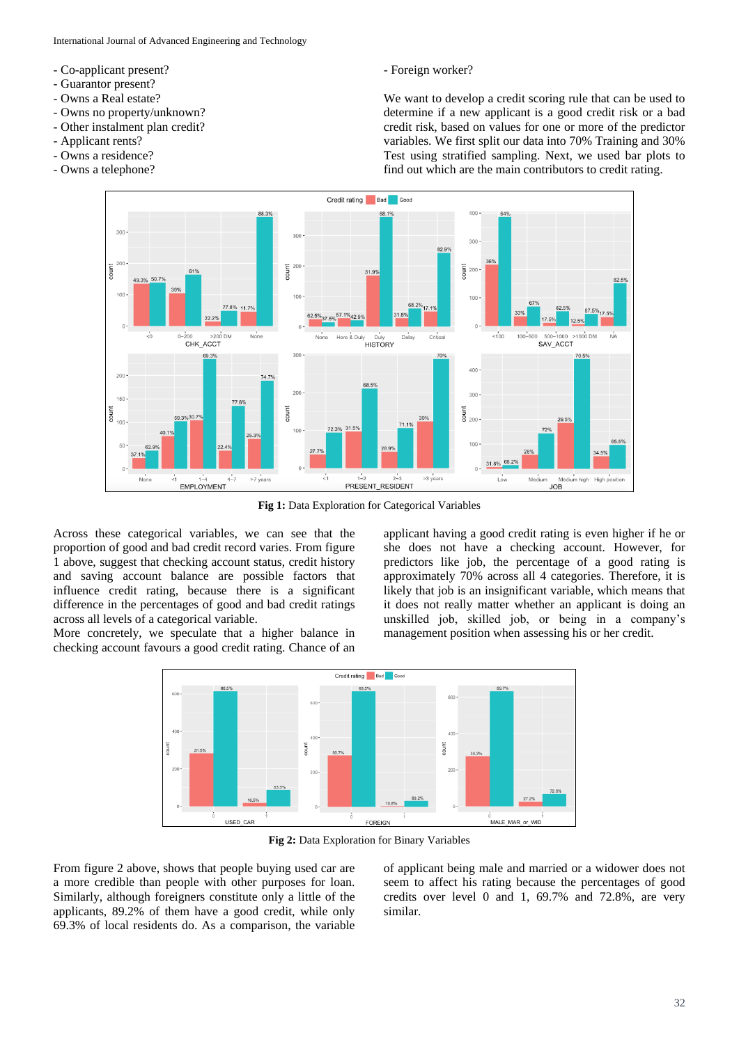International Journal of Advanced Engineering and Technology

- Co-applicant present?
- Guarantor present?
- Owns a Real estate?
- Owns no property/unknown?
- Other instalment plan credit?
- Applicant rents?
- Owns a residence?
- Owns a telephone?

- Foreign worker?

We want to develop a credit scoring rule that can be used to determine if a new applicant is a good credit risk or a bad credit risk, based on values for one or more of the predictor variables. We first split our data into 70% Training and 30% Test using stratified sampling. Next, we used bar plots to find out which are the main contributors to credit rating.



**Fig 1:** Data Exploration for Categorical Variables

Across these categorical variables, we can see that the proportion of good and bad credit record varies. From figure 1 above, suggest that checking account status, credit history and saving account balance are possible factors that influence credit rating, because there is a significant difference in the percentages of good and bad credit ratings across all levels of a categorical variable.

More concretely, we speculate that a higher balance in checking account favours a good credit rating. Chance of an

applicant having a good credit rating is even higher if he or she does not have a checking account. However, for predictors like job, the percentage of a good rating is approximately 70% across all 4 categories. Therefore, it is likely that job is an insignificant variable, which means that it does not really matter whether an applicant is doing an unskilled job, skilled job, or being in a company's management position when assessing his or her credit.

![](_page_1_Figure_16.jpeg)

**Fig 2:** Data Exploration for Binary Variables

From figure 2 above, shows that people buying used car are a more credible than people with other purposes for loan. Similarly, although foreigners constitute only a little of the applicants, 89.2% of them have a good credit, while only 69.3% of local residents do. As a comparison, the variable

of applicant being male and married or a widower does not seem to affect his rating because the percentages of good credits over level 0 and 1, 69.7% and 72.8%, are very similar.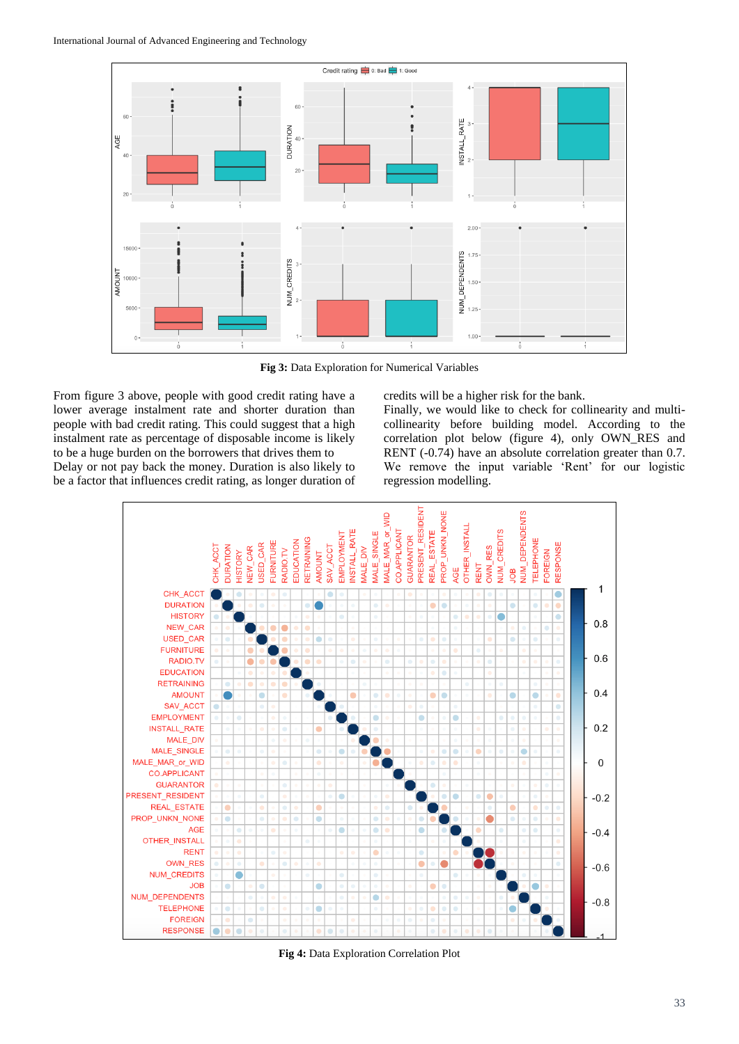![](_page_2_Figure_1.jpeg)

**Fig 3:** Data Exploration for Numerical Variables

From figure 3 above, people with good credit rating have a lower average instalment rate and shorter duration than people with bad credit rating. This could suggest that a high instalment rate as percentage of disposable income is likely to be a huge burden on the borrowers that drives them to Delay or not pay back the money. Duration is also likely to be a factor that influences credit rating, as longer duration of credits will be a higher risk for the bank.

Finally, we would like to check for collinearity and multicollinearity before building model. According to the correlation plot below (figure 4), only OWN\_RES and RENT (-0.74) have an absolute correlation greater than 0.7. We remove the input variable 'Rent' for our logistic regression modelling.

![](_page_2_Figure_6.jpeg)

**Fig 4:** Data Exploration Correlation Plot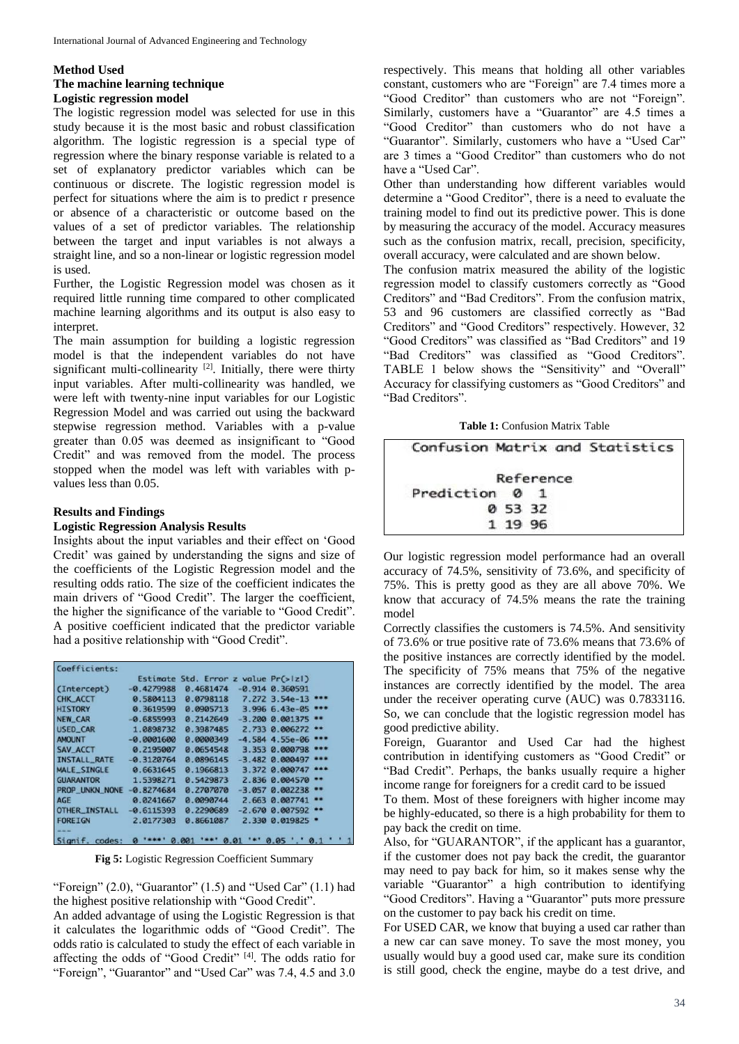## **Method Used The machine learning technique Logistic regression model**

The logistic regression model was selected for use in this study because it is the most basic and robust classification algorithm. The logistic regression is a special type of regression where the binary response variable is related to a set of explanatory predictor variables which can be continuous or discrete. The logistic regression model is perfect for situations where the aim is to predict r presence or absence of a characteristic or outcome based on the values of a set of predictor variables. The relationship between the target and input variables is not always a straight line, and so a non-linear or logistic regression model is used.

Further, the Logistic Regression model was chosen as it required little running time compared to other complicated machine learning algorithms and its output is also easy to interpret.

The main assumption for building a logistic regression model is that the independent variables do not have significant multi-collinearity<sup>[2]</sup>. Initially, there were thirty input variables. After multi-collinearity was handled, we were left with twenty-nine input variables for our Logistic Regression Model and was carried out using the backward stepwise regression method. Variables with a p-value greater than 0.05 was deemed as insignificant to "Good Credit" and was removed from the model. The process stopped when the model was left with variables with pvalues less than 0.05.

## **Results and Findings**

## **Logistic Regression Analysis Results**

Insights about the input variables and their effect on 'Good Credit' was gained by understanding the signs and size of the coefficients of the Logistic Regression model and the resulting odds ratio. The size of the coefficient indicates the main drivers of "Good Credit". The larger the coefficient, the higher the significance of the variable to "Good Credit". A positive coefficient indicated that the predictor variable had a positive relationship with "Good Credit".

|                     |              | Estimate Std. Error z value $Pr(> z )$ |                      |
|---------------------|--------------|----------------------------------------|----------------------|
| (Intercept)         | $-0.4279988$ | 0.4681474                              | $-0.914$ $0.360591$  |
| CHK_ACCT            | 0.5804113    | 0.0798118                              | $7.272$ 3.54e-13     |
| <b>HISTORY</b>      | 0.3619599    | 0.0905713                              | $3.9966.43e-05$      |
| <b>NEW CAR</b>      | $-0.6855993$ | 0.2142649                              | $-3.200$ 0.001375 ** |
| <b>USED CAR</b>     | 1.0898732    | 0.3987485                              | 2.733 0.006272 **    |
| <b>AMOUNT</b>       | $-0.0001600$ | 0.0000349                              | $-4.584$ 4.55e-06    |
| SAV ACCT            | 0.2195007    | 0.0654548                              | 3.353 0.000798       |
| <b>INSTALL RATE</b> | $-0.3120764$ | 0.0896145                              | $-3.482$ $0.000497$  |
| MALE SINGLE         | 0.6631645    | 0.1966813                              | 3.372 0.000747 ***   |
| <b>GUARANTOR</b>    | 1.5398271    | 0.5429873                              | 2.836 0.004570       |
| PROP UNKN NONE      | $-0.8274684$ | 0.2707070                              | $-3.057$ 0.002238    |
| <b>AGE</b>          | 0.0241667    | 0.0090744                              | 2.663 0.007741 **    |
| OTHER INSTALL       | $-0.6115393$ | 0.2290689                              | $-2.67000.007592$ ** |
| <b>FORETGN</b>      | 2.0177303    | 0.8661087                              | 2.330 0.019825 .     |

**Fig 5:** Logistic Regression Coefficient Summary

"Foreign"  $(2.0)$ , "Guarantor"  $(1.5)$  and "Used Car"  $(1.1)$  had the highest positive relationship with "Good Credit".

An added advantage of using the Logistic Regression is that it calculates the logarithmic odds of "Good Credit". The odds ratio is calculated to study the effect of each variable in affecting the odds of "Good Credit" [4]. The odds ratio for "Foreign", "Guarantor" and "Used Car" was 7.4, 4.5 and 3.0

respectively. This means that holding all other variables constant, customers who are "Foreign" are 7.4 times more a "Good Creditor" than customers who are not "Foreign". Similarly, customers have a "Guarantor" are 4.5 times a "Good Creditor" than customers who do not have a "Guarantor". Similarly, customers who have a "Used Car" are 3 times a "Good Creditor" than customers who do not have a "Used Car".

Other than understanding how different variables would determine a "Good Creditor", there is a need to evaluate the training model to find out its predictive power. This is done by measuring the accuracy of the model. Accuracy measures such as the confusion matrix, recall, precision, specificity, overall accuracy, were calculated and are shown below.

The confusion matrix measured the ability of the logistic regression model to classify customers correctly as "Good Creditors" and "Bad Creditors". From the confusion matrix, 53 and 96 customers are classified correctly as "Bad Creditors" and "Good Creditors" respectively. However, 32 "Good Creditors" was classified as "Bad Creditors" and 19 "Bad Creditors" was classified as "Good Creditors". TABLE 1 below shows the "Sensitivity" and "Overall" Accuracy for classifying customers as "Good Creditors" and "Bad Creditors".

**Table 1:** Confusion Matrix Table

|                |           |  | Confusion Matrix and Statistics |  |
|----------------|-----------|--|---------------------------------|--|
|                | Reference |  |                                 |  |
| Prediction 0 1 |           |  |                                 |  |
|                | 0 53 32   |  |                                 |  |
|                | 1 19 96   |  |                                 |  |
|                |           |  |                                 |  |

Our logistic regression model performance had an overall accuracy of 74.5%, sensitivity of 73.6%, and specificity of 75%. This is pretty good as they are all above 70%. We know that accuracy of 74.5% means the rate the training model

Correctly classifies the customers is 74.5%. And sensitivity of 73.6% or true positive rate of 73.6% means that 73.6% of the positive instances are correctly identified by the model. The specificity of 75% means that 75% of the negative instances are correctly identified by the model. The area under the receiver operating curve (AUC) was 0.7833116. So, we can conclude that the logistic regression model has good predictive ability.

Foreign, Guarantor and Used Car had the highest contribution in identifying customers as "Good Credit" or "Bad Credit". Perhaps, the banks usually require a higher income range for foreigners for a credit card to be issued

To them. Most of these foreigners with higher income may be highly-educated, so there is a high probability for them to pay back the credit on time.

Also, for "GUARANTOR", if the applicant has a guarantor, if the customer does not pay back the credit, the guarantor may need to pay back for him, so it makes sense why the variable "Guarantor" a high contribution to identifying "Good Creditors". Having a "Guarantor" puts more pressure on the customer to pay back his credit on time.

For USED CAR, we know that buying a used car rather than a new car can save money. To save the most money, you usually would buy a good used car, make sure its condition is still good, check the engine, maybe do a test drive, and